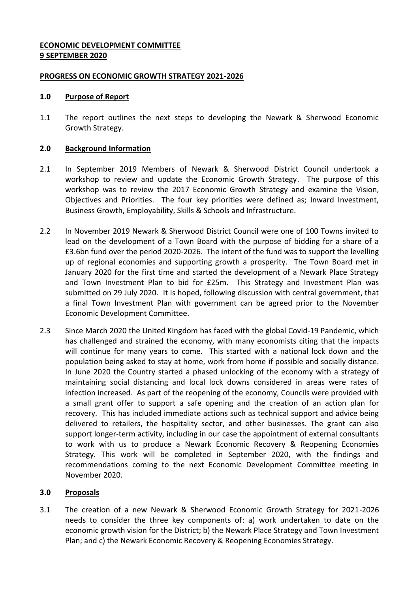## **ECONOMIC DEVELOPMENT COMMITTEE 9 SEPTEMBER 2020**

#### **PROGRESS ON ECONOMIC GROWTH STRATEGY 2021-2026**

#### **1.0 Purpose of Report**

1.1 The report outlines the next steps to developing the Newark & Sherwood Economic Growth Strategy.

#### **2.0 Background Information**

- 2.1 In September 2019 Members of Newark & Sherwood District Council undertook a workshop to review and update the Economic Growth Strategy. The purpose of this workshop was to review the 2017 Economic Growth Strategy and examine the Vision, Objectives and Priorities. The four key priorities were defined as; Inward Investment, Business Growth, Employability, Skills & Schools and Infrastructure.
- 2.2 In November 2019 Newark & Sherwood District Council were one of 100 Towns invited to lead on the development of a Town Board with the purpose of bidding for a share of a £3.6bn fund over the period 2020-2026. The intent of the fund was to support the levelling up of regional economies and supporting growth a prosperity. The Town Board met in January 2020 for the first time and started the development of a Newark Place Strategy and Town Investment Plan to bid for £25m. This Strategy and Investment Plan was submitted on 29 July 2020. It is hoped, following discussion with central government, that a final Town Investment Plan with government can be agreed prior to the November Economic Development Committee.
- 2.3 Since March 2020 the United Kingdom has faced with the global Covid-19 Pandemic, which has challenged and strained the economy, with many economists citing that the impacts will continue for many years to come. This started with a national lock down and the population being asked to stay at home, work from home if possible and socially distance. In June 2020 the Country started a phased unlocking of the economy with a strategy of maintaining social distancing and local lock downs considered in areas were rates of infection increased. As part of the reopening of the economy, Councils were provided with a small grant offer to support a safe opening and the creation of an action plan for recovery. This has included immediate actions such as technical support and advice being delivered to retailers, the hospitality sector, and other businesses. The grant can also support longer-term activity, including in our case the appointment of external consultants to work with us to produce a Newark Economic Recovery & Reopening Economies Strategy. This work will be completed in September 2020, with the findings and recommendations coming to the next Economic Development Committee meeting in November 2020.

### **3.0 Proposals**

3.1 The creation of a new Newark & Sherwood Economic Growth Strategy for 2021-2026 needs to consider the three key components of: a) work undertaken to date on the economic growth vision for the District; b) the Newark Place Strategy and Town Investment Plan; and c) the Newark Economic Recovery & Reopening Economies Strategy.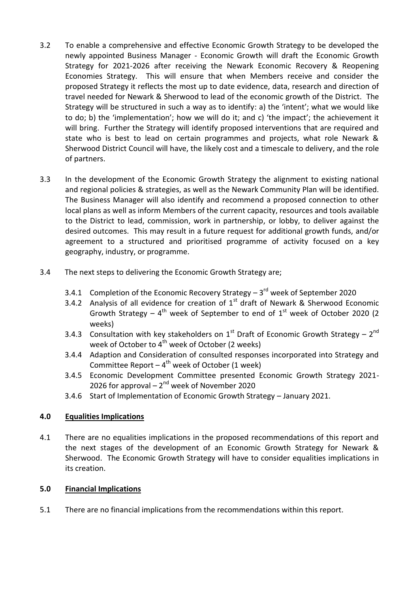- 3.2 To enable a comprehensive and effective Economic Growth Strategy to be developed the newly appointed Business Manager - Economic Growth will draft the Economic Growth Strategy for 2021-2026 after receiving the Newark Economic Recovery & Reopening Economies Strategy. This will ensure that when Members receive and consider the proposed Strategy it reflects the most up to date evidence, data, research and direction of travel needed for Newark & Sherwood to lead of the economic growth of the District. The Strategy will be structured in such a way as to identify: a) the 'intent'; what we would like to do; b) the 'implementation'; how we will do it; and c) 'the impact'; the achievement it will bring. Further the Strategy will identify proposed interventions that are required and state who is best to lead on certain programmes and projects, what role Newark & Sherwood District Council will have, the likely cost and a timescale to delivery, and the role of partners.
- 3.3 In the development of the Economic Growth Strategy the alignment to existing national and regional policies & strategies, as well as the Newark Community Plan will be identified. The Business Manager will also identify and recommend a proposed connection to other local plans as well as inform Members of the current capacity, resources and tools available to the District to lead, commission, work in partnership, or lobby, to deliver against the desired outcomes. This may result in a future request for additional growth funds, and/or agreement to a structured and prioritised programme of activity focused on a key geography, industry, or programme.
- 3.4 The next steps to delivering the Economic Growth Strategy are;
	- 3.4.1 Completion of the Economic Recovery Strategy  $-3^{rd}$  week of September 2020
	- 3.4.2 Analysis of all evidence for creation of  $1^{st}$  draft of Newark & Sherwood Economic Growth Strategy  $-4$ <sup>th</sup> week of September to end of  $1<sup>st</sup>$  week of October 2020 (2 weeks)
	- 3.4.3 Consultation with key stakeholders on  $1<sup>st</sup>$  Draft of Economic Growth Strategy  $2<sup>nd</sup>$ week of October to 4<sup>th</sup> week of October (2 weeks)
	- 3.4.4 Adaption and Consideration of consulted responses incorporated into Strategy and Committee Report  $-4^{\text{th}}$  week of October (1 week)
	- 3.4.5 Economic Development Committee presented Economic Growth Strategy 2021- 2026 for approval  $-2<sup>nd</sup>$  week of November 2020
	- 3.4.6 Start of Implementation of Economic Growth Strategy January 2021.

# **4.0 Equalities Implications**

4.1 There are no equalities implications in the proposed recommendations of this report and the next stages of the development of an Economic Growth Strategy for Newark & Sherwood. The Economic Growth Strategy will have to consider equalities implications in its creation.

### **5.0 Financial Implications**

5.1 There are no financial implications from the recommendations within this report.